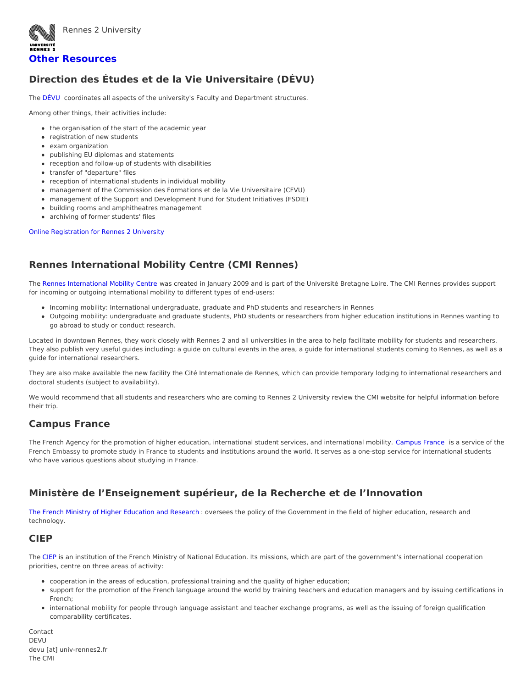

## **Other [Resources](https://international.univ-rennes2.fr/studying/other-resources)**

# **Direction des Études et de la Vie Universitaire (DÉVU)**

The [DÉVU](https://web-public.univ-rennes2.fr/structure/devu) coordinates all aspects of the university's Faculty and Department structures.

Among other things, their activities include:

- the organisation of the start of the academic year
- registration of new students
- exam organization
- publishing EU diplomas and statements
- reception and follow-up of students with disabilities
- transfer of "departure" files
- reception of international students in individual mobility
- management of the Commission des Formations et de la Vie Universitaire (CFVU)
- management of the Support and Development Fund for Student Initiatives (FSDIE)
- building rooms and amphitheatres management
- archiving of former students' files

#### Online [Registration](https://candidatures.univ-rennes2.fr/#!accueilView) for Rennes 2 University

# **Rennes International Mobility Centre (CMI Rennes)**

The Rennes [International](https://cmirennes.u-bretagneloire.fr/en) Mobility Centre was created in January 2009 and is part of the Université Bretagne Loire. The CMI Rennes provides support for incoming or outgoing international mobility to different types of end-users:

- Incoming mobility: International undergraduate, graduate and PhD students and researchers in Rennes
- Outgoing mobility: undergraduate and graduate students, PhD students or researchers from higher education institutions in Rennes wanting to go abroad to study or conduct research.

Located in downtown Rennes, they work closely with Rennes 2 and all universities in the area to help facilitate mobility for students and researchers. They also publish very useful guides including: a guide on cultural events in the area, a guide for international students coming to Rennes, as well as a guide for international researchers.

They are also make available the new facility the Cité Internationale de Rennes, which can provide temporary lodging to international researchers and doctoral students (subject to availability).

We would recommend that all students and researchers who are coming to Rennes 2 University review the CMI website for helpful information before their trip.

# **Campus France**

The French Agency for the promotion of higher education, international student services, and international mobility. [Campus](https://www.campusfrance.org/en) France is a service of the French Embassy to promote study in France to students and institutions around the world. It serves as a one-stop service for international students who have various questions about studying in France.

# **Ministère de l'Enseignement supérieur, de la Recherche et de l'Innovation**

The French Ministry of Higher [Education](http://www.enseignementsup-recherche.gouv.fr/) and Research : oversees the policy of the Government in the field of higher education, research and technology.

### **CIEP**

The [CIEP](http://www.ciep.fr/en) is an institution of the French Ministry of National Education. Its missions, which are part of the government's international cooperation priorities, centre on three areas of activity:

- cooperation in the areas of education, professional training and the quality of higher education;
- support for the promotion of the French language around the world by training teachers and education managers and by issuing certifications in French;
- international mobility for people through language assistant and teacher exchange programs, as well as the issuing of foreign qualification comparability certificates.

Contact DEVU devu [at] univ-rennes2.fr The CMI